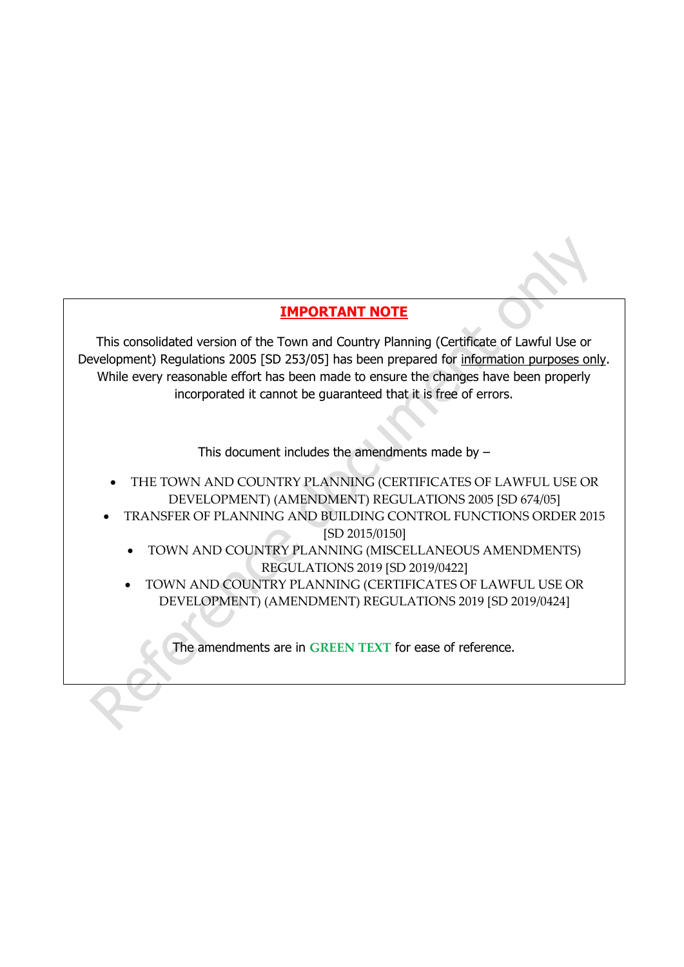# **IMPORTANT NOTE**

This consolidated version of the Town and Country Planning (Certificate of Lawful Use or Development) Regulations 2005 [SD 253/05] has been prepared for information purposes only. While every reasonable effort has been made to ensure the changes have been properly incorporated it cannot be guaranteed that it is free of errors.

This document includes the amendments made by –

- THE TOWN AND COUNTRY PLANNING (CERTIFICATES OF LAWFUL USE OR DEVELOPMENT) (AMENDMENT) REGULATIONS 2005 [SD 674/05]
- TRANSFER OF PLANNING AND BUILDING CONTROL FUNCTIONS ORDER 2015 [SD 2015/0150]
	- TOWN AND COUNTRY PLANNING (MISCELLANEOUS AMENDMENTS) REGULATIONS 2019 [SD 2019/0422]
	- TOWN AND COUNTRY PLANNING (CERTIFICATES OF LAWFUL USE OR DEVELOPMENT) (AMENDMENT) REGULATIONS 2019 [SD 2019/0424]

The amendments are in **GREEN TEXT** for ease of reference.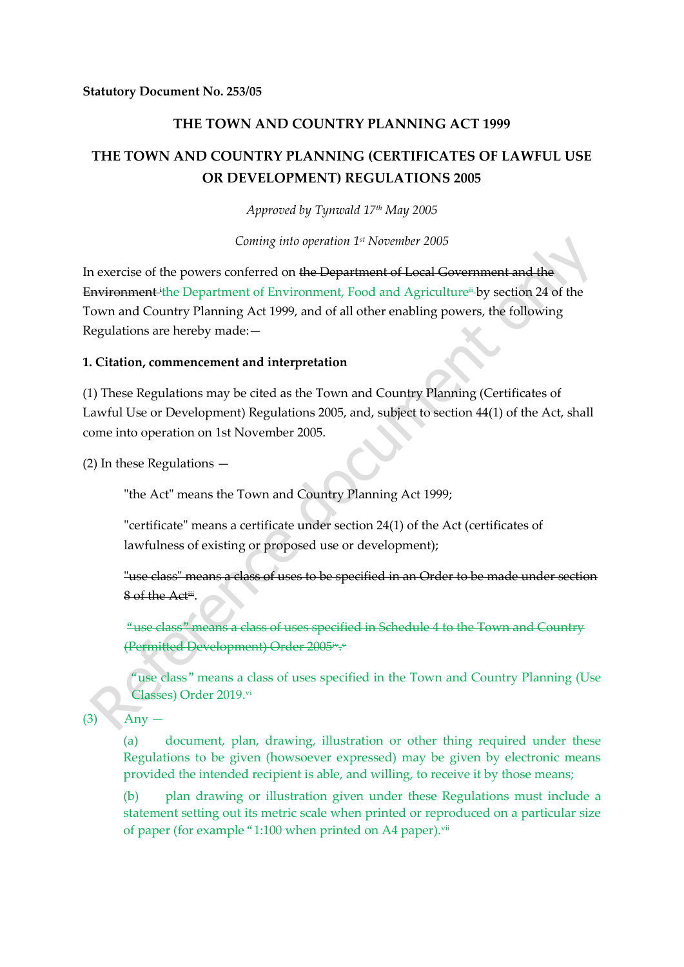## **THE TOWN AND COUNTRY PLANNING ACT 1999**

# **THE TOWN AND COUNTRY PLANNING (CERTIFICATES OF LAWFUL USE OR DEVELOPMENT) REGULATIONS 2005**

*Approved by Tynwald 17th May 2005*

*Coming into operation 1st November 2005*

In exercise of the powers conferred on the Department of Local Government and the <del>Environment '</del>the Department of Environment, Food and Agriculture<sup>ii</sup>-by section 24 of the Town and Country Planning Act 1999, and of all other enabling powers, the following Regulations are hereby made:—

### **1. Citation, commencement and interpretation**

(1) These Regulations may be cited as the Town and Country Planning (Certificates of Lawful Use or Development) Regulations 2005, and, subject to section 44(1) of the Act, shall come into operation on 1st November 2005.

(2) In these Regulations —

"the Act" means the Town and Country Planning Act 1999;

"certificate" means a certificate under section 24(1) of the Act (certificates of lawfulness of existing or proposed use or development);

"use class" means a class of uses to be specified in an Order to be made under section 8 of the Actiii .

"use class" means a class of uses specified in Schedule 4 to the Town and Country (Permitted Development) Order 2005iv . v

"use class" means a class of uses specified in the Town and Country Planning (Use Classes) Order 2019.vi

 $\langle 3 \rangle$  Any –

(a) document, plan, drawing, illustration or other thing required under these Regulations to be given (howsoever expressed) may be given by electronic means provided the intended recipient is able, and willing, to receive it by those means;

(b) plan drawing or illustration given under these Regulations must include a statement setting out its metric scale when printed or reproduced on a particular size of paper (for example "1:100 when printed on A4 paper).<sup>vii</sup>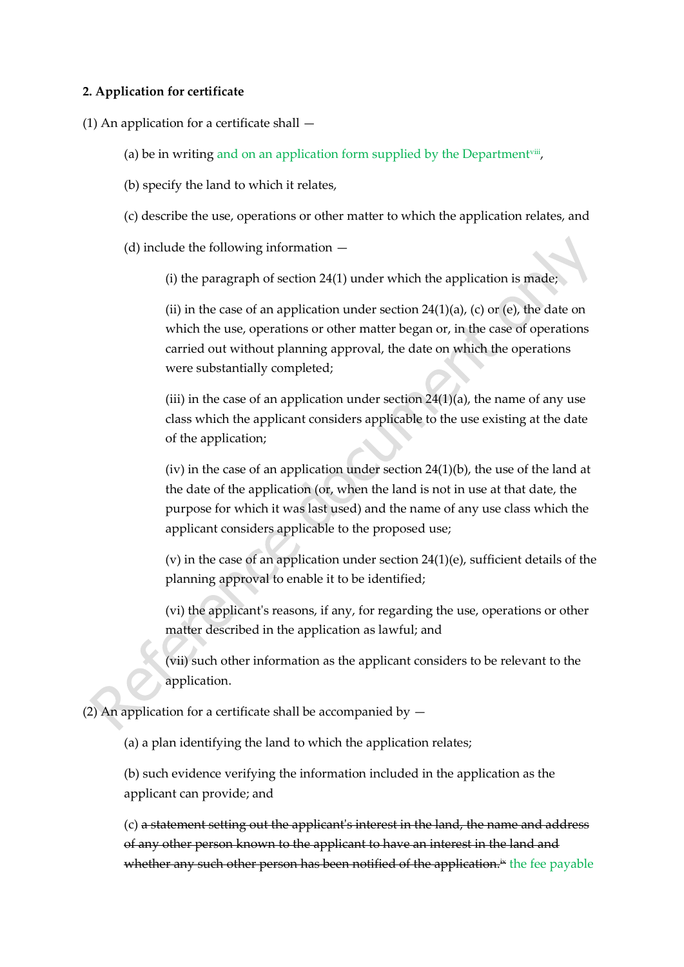## **2. Application for certificate**

(1) An application for a certificate shall —

- (a) be in writing and on an application form supplied by the Departmentviii ,
- (b) specify the land to which it relates,
- (c) describe the use, operations or other matter to which the application relates, and

(d) include the following information —

(i) the paragraph of section 24(1) under which the application is made;

(ii) in the case of an application under section  $24(1)(a)$ , (c) or (e), the date on which the use, operations or other matter began or, in the case of operations carried out without planning approval, the date on which the operations were substantially completed;

(iii) in the case of an application under section  $24(1)(a)$ , the name of any use class which the applicant considers applicable to the use existing at the date of the application;

(iv) in the case of an application under section 24(1)(b), the use of the land at the date of the application (or, when the land is not in use at that date, the purpose for which it was last used) and the name of any use class which the applicant considers applicable to the proposed use;

(v) in the case of an application under section 24(1)(e), sufficient details of the planning approval to enable it to be identified;

(vi) the applicant's reasons, if any, for regarding the use, operations or other matter described in the application as lawful; and

(vii) such other information as the applicant considers to be relevant to the application.

(2) An application for a certificate shall be accompanied by  $-$ 

(a) a plan identifying the land to which the application relates;

(b) such evidence verifying the information included in the application as the applicant can provide; and

(c) a statement setting out the applicant's interest in the land, the name and address of any other person known to the applicant to have an interest in the land and whether any such other person has been notified of the application.<sup>ix</sup> the fee payable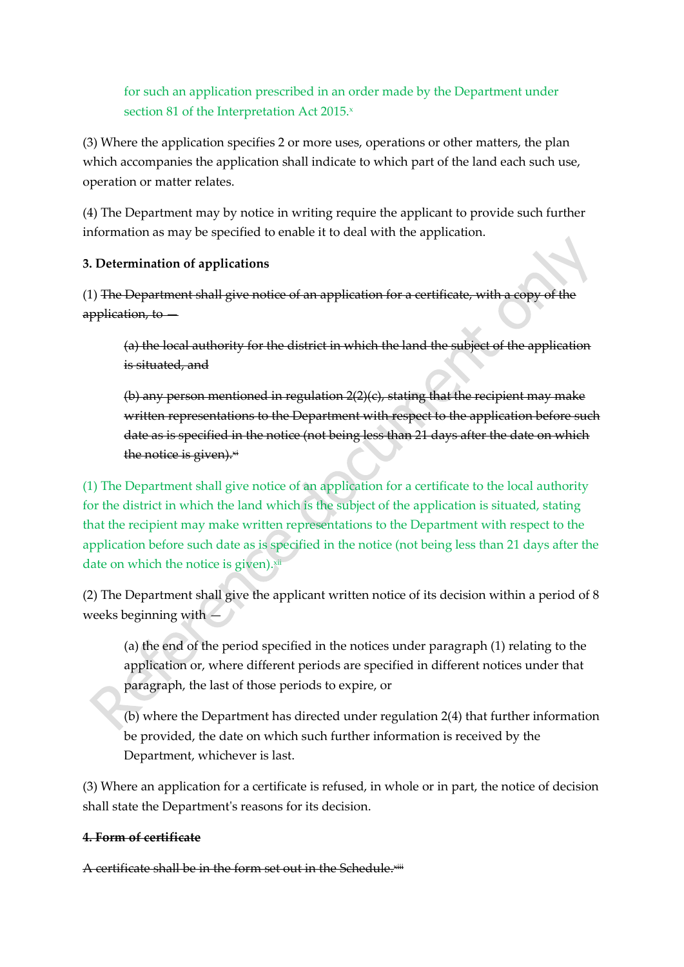for such an application prescribed in an order made by the Department under section 81 of the Interpretation Act 2015.<sup>x</sup>

(3) Where the application specifies 2 or more uses, operations or other matters, the plan which accompanies the application shall indicate to which part of the land each such use, operation or matter relates.

(4) The Department may by notice in writing require the applicant to provide such further information as may be specified to enable it to deal with the application.

## **3. Determination of applications**

(1) The Department shall give notice of an application for a certificate, with a copy of the application, to —

(a) the local authority for the district in which the land the subject of the application is situated, and

(b) any person mentioned in regulation 2(2)(c), stating that the recipient may make written representations to the Department with respect to the application before such date as is specified in the notice (not being less than 21 days after the date on which the notice is given). $*$ 

(1) The Department shall give notice of an application for a certificate to the local authority for the district in which the land which is the subject of the application is situated, stating that the recipient may make written representations to the Department with respect to the application before such date as is specified in the notice (not being less than 21 days after the date on which the notice is given).xii

(2) The Department shall give the applicant written notice of its decision within a period of 8 weeks beginning with —

(a) the end of the period specified in the notices under paragraph (1) relating to the application or, where different periods are specified in different notices under that paragraph, the last of those periods to expire, or

(b) where the Department has directed under regulation 2(4) that further information be provided, the date on which such further information is received by the Department, whichever is last.

(3) Where an application for a certificate is refused, in whole or in part, the notice of decision shall state the Department's reasons for its decision.

## **4. Form of certificate**

A certificate shall be in the form set out in the Schedule.<sup>xiii</sup>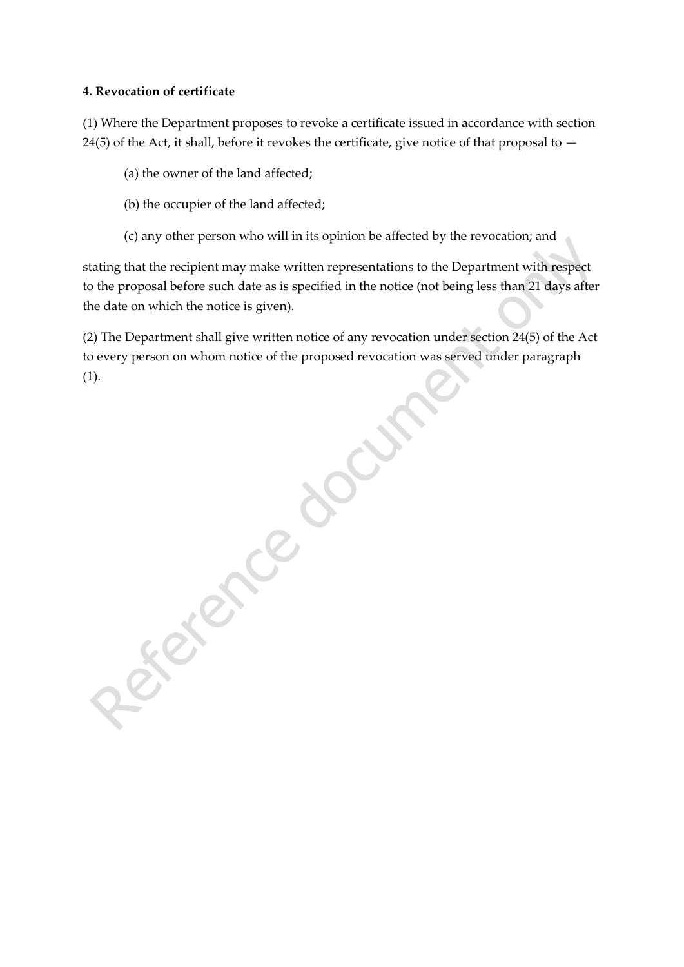## **4. Revocation of certificate**

(1) Where the Department proposes to revoke a certificate issued in accordance with section 24(5) of the Act, it shall, before it revokes the certificate, give notice of that proposal to  $-$ 

(a) the owner of the land affected;

- (b) the occupier of the land affected;
- (c) any other person who will in its opinion be affected by the revocation; and

stating that the recipient may make written representations to the Department with respect to the proposal before such date as is specified in the notice (not being less than 21 days after the date on which the notice is given).

(2) The Department shall give written notice of any revocation under section 24(5) of the Act to every person on whom notice of the proposed revocation was served under paragraph Perchange document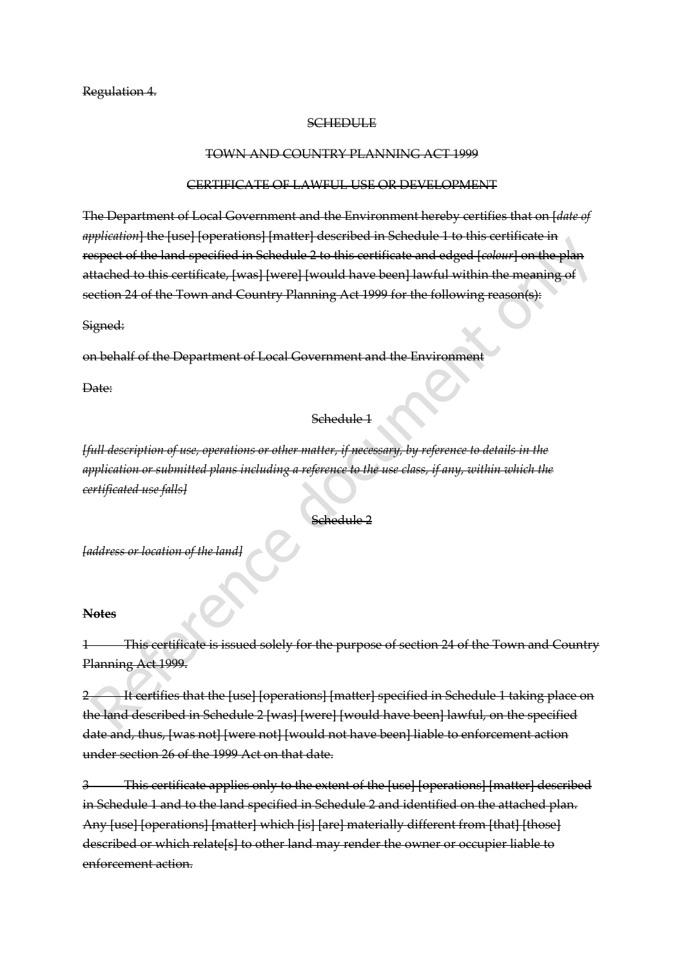#### **SCHEDULE**

#### TOWN AND COUNTRY PLANNING ACT 1999

#### CERTIFICATE OF LAWFUL USE OR DEVELOPMENT

The Department of Local Government and the Environment hereby certifies that on [*date of application*] the [use] [operations] [matter] described in Schedule 1 to this certificate in respect of the land specified in Schedule 2 to this certificate and edged [*colour*] on the plan attached to this certificate, [was] [were] [would have been] lawful within the meaning of section 24 of the Town and Country Planning Act 1999 for the following reason(s):

#### Signed:

on behalf of the Department of Local Government and the Environment

Date:

## Schedule 1

*[full description of use, operations or other matter, if necessary, by reference to details in the application or submitted plans including a reference to the use class, if any, within which the certificated use falls]*

Schedule 2

*[address or location of the land]*

#### **Notes**

1 This certificate is issued solely for the purpose of section 24 of the Town and Country Planning Act 1999.

2 **It certifies that the [use] [operations] [matter] specified in Schedule 1 taking place on** the land described in Schedule 2 [was] [were] [would have been] lawful, on the specified date and, thus, [was not] [were not] [would not have been] liable to enforcement action under section 26 of the 1999 Act on that date.

3 This certificate applies only to the extent of the [use] [operations] [matter] described in Schedule 1 and to the land specified in Schedule 2 and identified on the attached plan. Any [use] [operations] [matter] which [is] [are] materially different from [that] [those] described or which relate[s] to other land may render the owner or occupier liable to enforcement action.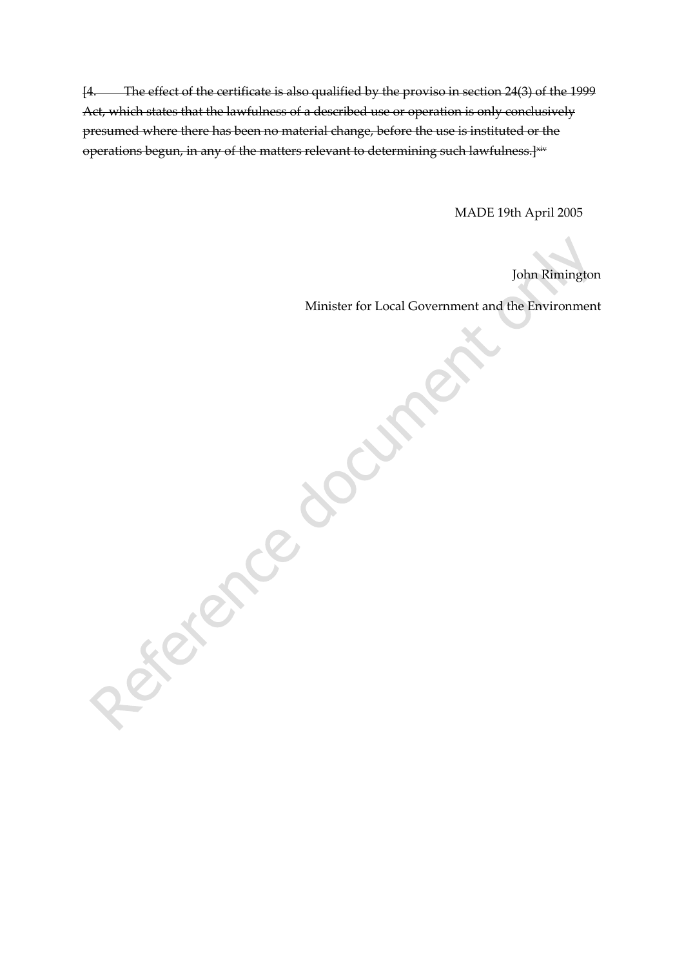[4. The effect of the certificate is also qualified by the proviso in section 24(3) of the 1999 Act, which states that the lawfulness of a described use or operation is only conclusively presumed where there has been no material change, before the use is instituted or the operations begun, in any of the matters relevant to determining such lawfulness.<sup>[xiv</sup>]

MADE 19th April 2005

John Rimington

Minister for Local Government and the Environment<br>Minister for Local Government and the Environment<br>Control Control Control Control Control Control Control Control Control Control Control Control Control Control Control Co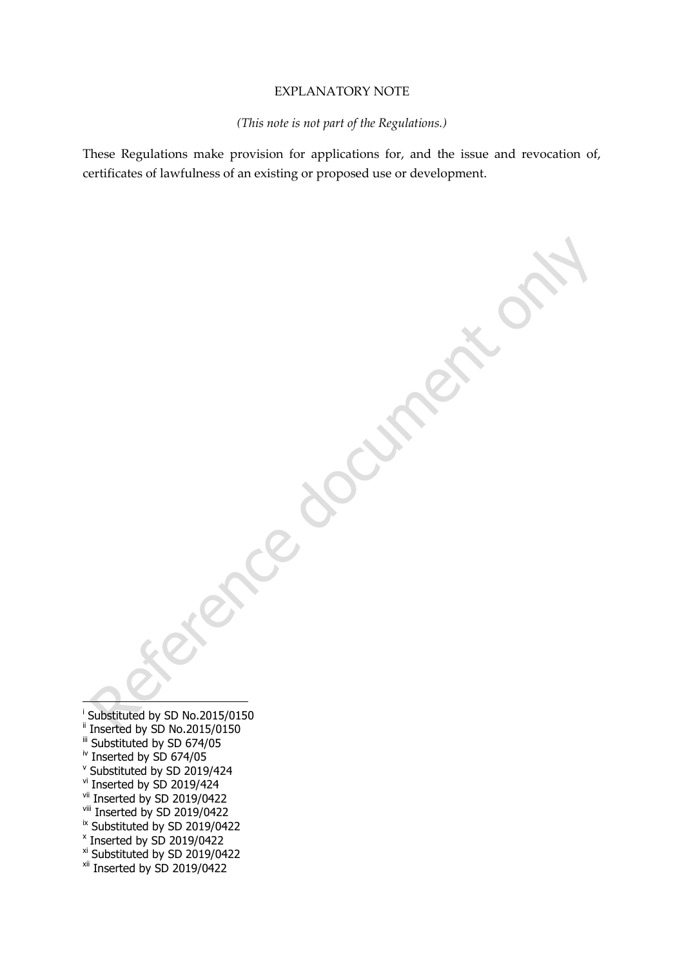### EXPLANATORY NOTE

#### *(This note is not part of the Regulations.)*

These Regulations make provision for applications for, and the issue and revocation of, certificates of lawfulness of an existing or proposed use or development.

Are being

i Substituted by SD No.2015/0150

- ii Inserted by SD No.2015/0150
- iii Substituted by SD 674/05
- $\frac{1}{10}$  Inserted by SD 674/05
- v Substituted by SD 2019/424
- vi Inserted by SD 2019/424
- vii Inserted by SD 2019/0422
- viii Inserted by SD 2019/0422
- ix Substituted by SD 2019/0422
- x Inserted by SD 2019/0422
- $x_i$  Substituted by SD 2019/0422
- <sup>xii</sup> Inserted by SD 2019/0422